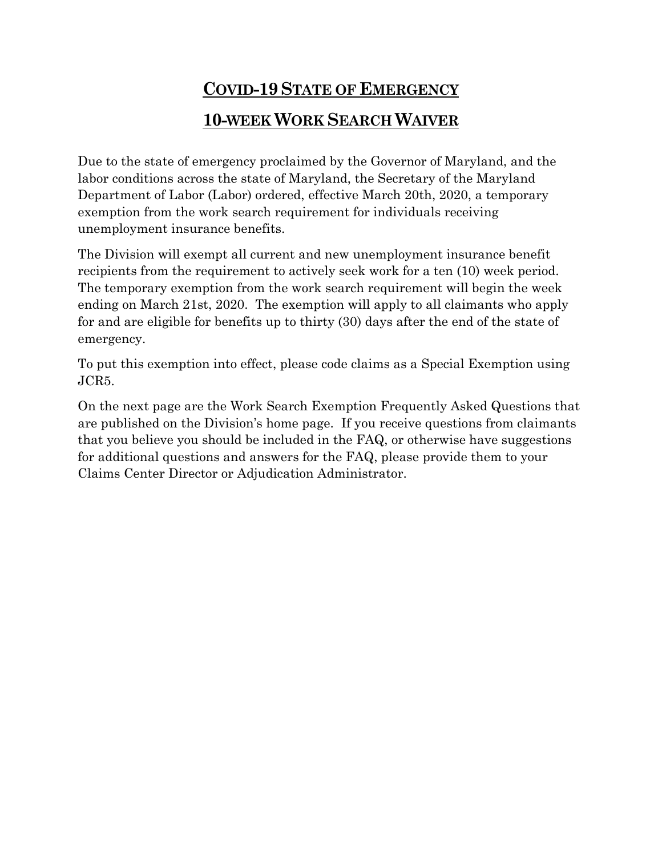# **COVID-19 STATE OF EMERGENCY 10-WEEK WORK SEARCH WAIVER**

Due to the state of emergency proclaimed by the Governor of Maryland, and the labor conditions across the state of Maryland, the Secretary of the Maryland Department of Labor (Labor) ordered, effective March 20th, 2020, a temporary exemption from the work search requirement for individuals receiving unemployment insurance benefits.

The Division will exempt all current and new unemployment insurance benefit recipients from the requirement to actively seek work for a ten (10) week period. The temporary exemption from the work search requirement will begin the week ending on March 21st, 2020. The exemption will apply to all claimants who apply for and are eligible for benefits up to thirty (30) days after the end of the state of emergency.

To put this exemption into effect, please code claims as a Special Exemption using JCR5.

On the next page are the Work Search Exemption Frequently Asked Questions that are published on the Division's home page. If you receive questions from claimants that you believe you should be included in the FAQ, or otherwise have suggestions for additional questions and answers for the FAQ, please provide them to your Claims Center Director or Adjudication Administrator.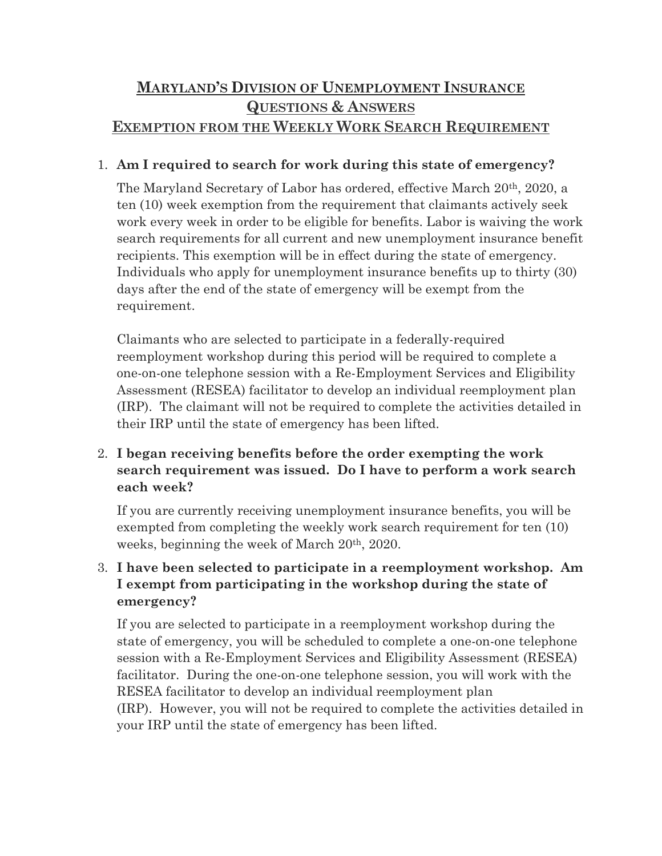# **MARYLAND'S DIVISION OF UNEMPLOYMENT INSURANCE QUESTIONS & ANSWERS EXEMPTION FROM THE WEEKLY WORK SEARCH REQUIREMENT**

#### 1. **Am I required to search for work during this state of emergency?**

The Maryland Secretary of Labor has ordered, effective March 20th, 2020, a ten (10) week exemption from the requirement that claimants actively seek work every week in order to be eligible for benefits. Labor is waiving the work search requirements for all current and new unemployment insurance benefit recipients. This exemption will be in effect during the state of emergency. Individuals who apply for unemployment insurance benefits up to thirty (30) days after the end of the state of emergency will be exempt from the requirement.

Claimants who are selected to participate in a federally-required reemployment workshop during this period will be required to complete a one-on-one telephone session with a Re-Employment Services and Eligibility Assessment (RESEA) facilitator to develop an individual reemployment plan (IRP). The claimant will not be required to complete the activities detailed in their IRP until the state of emergency has been lifted.

## 2. **I began receiving benefits before the order exempting the work search requirement was issued. Do I have to perform a work search each week?**

If you are currently receiving unemployment insurance benefits, you will be exempted from completing the weekly work search requirement for ten (10) weeks, beginning the week of March 20<sup>th</sup>, 2020.

## 3. **I have been selected to participate in a reemployment workshop. Am I exempt from participating in the workshop during the state of emergency?**

If you are selected to participate in a reemployment workshop during the state of emergency, you will be scheduled to complete a one-on-one telephone session with a Re-Employment Services and Eligibility Assessment (RESEA) facilitator. During the one-on-one telephone session, you will work with the RESEA facilitator to develop an individual reemployment plan (IRP). However, you will not be required to complete the activities detailed in your IRP until the state of emergency has been lifted.